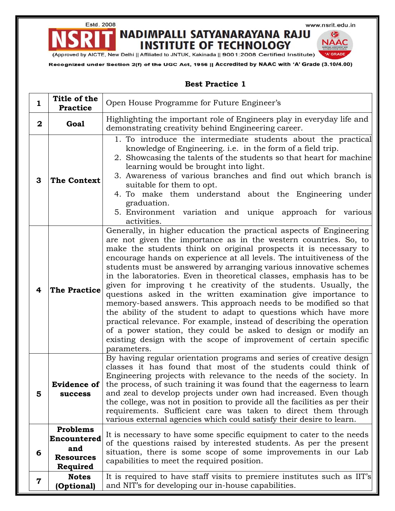www.nsrit.edu.in

NADIMPALLI SATYANARAYANA RAJU **INSTITUTE OF TECHNOLOGY** 

G **NAAC** 'A' GRADE

(Approved by AICTE, New Delhi || Affiliated to JNTUK, Kakinada || 9001:2008 Certified Institute)

Estd. 2008

Recognized under Section 2(f) of the UGC Act, 1956 || Accredited by NAAC with 'A' Grade (3.10/4.00)

### **Best Practice 1**

| $\mathbf{1}$ | Title of the<br><b>Practice</b>                                       | Open House Programme for Future Engineer's                                                                                                                                                                                                                                                                                                                                                                                                                                                                                                                                                                                                                                                                                                                                                                                                                                                                                                     |
|--------------|-----------------------------------------------------------------------|------------------------------------------------------------------------------------------------------------------------------------------------------------------------------------------------------------------------------------------------------------------------------------------------------------------------------------------------------------------------------------------------------------------------------------------------------------------------------------------------------------------------------------------------------------------------------------------------------------------------------------------------------------------------------------------------------------------------------------------------------------------------------------------------------------------------------------------------------------------------------------------------------------------------------------------------|
| $\mathbf{2}$ | <b>Goal</b>                                                           | Highlighting the important role of Engineers play in everyday life and<br>demonstrating creativity behind Engineering career.                                                                                                                                                                                                                                                                                                                                                                                                                                                                                                                                                                                                                                                                                                                                                                                                                  |
| 3            | <b>The Context</b>                                                    | 1. To introduce the intermediate students about the practical<br>knowledge of Engineering. <i>i.e.</i> in the form of a field trip.<br>2. Showcasing the talents of the students so that heart for machine<br>learning would be brought into light.<br>3. Awareness of various branches and find out which branch is<br>suitable for them to opt.<br>4. To make them understand about the Engineering under<br>graduation.<br>5. Environment variation and unique approach for various<br>activities.                                                                                                                                                                                                                                                                                                                                                                                                                                          |
| 4            | <b>The Practice</b>                                                   | Generally, in higher education the practical aspects of Engineering<br>are not given the importance as in the western countries. So, to<br>make the students think on original prospects it is necessary to<br>encourage hands on experience at all levels. The intuitiveness of the<br>students must be answered by arranging various innovative schemes<br>in the laboratories. Even in theoretical classes, emphasis has to be<br>given for improving t he creativity of the students. Usually, the<br>questions asked in the written examination give importance to<br>memory-based answers. This approach needs to be modified so that<br>the ability of the student to adapt to questions which have more<br>practical relevance. For example, instead of describing the operation<br>of a power station, they could be asked to design or modify an<br>existing design with the scope of improvement of certain specific<br>parameters. |
| 5            | <b>Evidence of</b><br><b>success</b>                                  | By having regular orientation programs and series of creative design<br>classes it has found that most of the students could think of<br>Engineering projects with relevance to the needs of the society. In<br>the process, of such training it was found that the eagerness to learn<br>and zeal to develop projects under own had increased. Even though<br>the college, was not in position to provide all the facilities as per their<br>requirements. Sufficient care was taken to direct them through<br>various external agencies which could satisfy their desire to learn.                                                                                                                                                                                                                                                                                                                                                           |
| 6            | <b>Problems</b><br>Encountered<br>and<br><b>Resources</b><br>Required | It is necessary to have some specific equipment to cater to the needs<br>of the questions raised by interested students. As per the present<br>situation, there is some scope of some improvements in our Lab<br>capabilities to meet the required position.                                                                                                                                                                                                                                                                                                                                                                                                                                                                                                                                                                                                                                                                                   |
| 7            | <b>Notes</b><br>(Optional)                                            | It is required to have staff visits to premiere institutes such as IIT's<br>and NIT's for developing our in-house capabilities.                                                                                                                                                                                                                                                                                                                                                                                                                                                                                                                                                                                                                                                                                                                                                                                                                |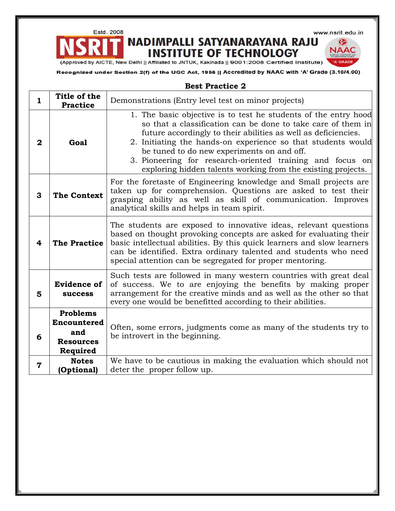Estd. 2008

www.nsrit.edu.in

G **NAAC** 

'A' GRADE

## NADIMPALLI SATYANARAYANA RAJU **INSTITUTE OF TECHNOLOGY**

(Approved by AICTE, New Delhi || Affiliated to JNTUK, Kakinada || 9001:2008 Certified Institute)

Recognized under Section 2(f) of the UGC Act, 1956 || Accredited by NAAC with 'A' Grade (3.10/4.00)

### **Best Practice 2**

| $\mathbf{1}$ | Title of the<br><b>Practice</b>                                              | Demonstrations (Entry level test on minor projects)                                                                                                                                                                                                                                                                                                                                                                                          |
|--------------|------------------------------------------------------------------------------|----------------------------------------------------------------------------------------------------------------------------------------------------------------------------------------------------------------------------------------------------------------------------------------------------------------------------------------------------------------------------------------------------------------------------------------------|
| $\mathbf{2}$ | Goal                                                                         | 1. The basic objective is to test he students of the entry hood<br>so that a classification can be done to take care of them in<br>future accordingly to their abilities as well as deficiencies.<br>2. Initiating the hands-on experience so that students would<br>be tuned to do new experiments on and off.<br>3. Pioneering for research-oriented training and focus on<br>exploring hidden talents working from the existing projects. |
| 3            | <b>The Context</b>                                                           | For the foretaste of Engineering knowledge and Small projects are<br>taken up for comprehension. Questions are asked to test their<br>grasping ability as well as skill of communication. Improves<br>analytical skills and helps in team spirit.                                                                                                                                                                                            |
| 4            | <b>The Practice</b>                                                          | The students are exposed to innovative ideas, relevant questions<br>based on thought provoking concepts are asked for evaluating their<br>basic intellectual abilities. By this quick learners and slow learners<br>can be identified. Extra ordinary talented and students who need<br>special attention can be segregated for proper mentoring.                                                                                            |
| 5            | <b>Evidence of</b><br><b>success</b>                                         | Such tests are followed in many western countries with great deal<br>of success. We to are enjoying the benefits by making proper<br>arrangement for the creative minds and as well as the other so that<br>every one would be benefitted according to their abilities.                                                                                                                                                                      |
| 6            | <b>Problems</b><br><b>Encountered</b><br>and<br><b>Resources</b><br>Required | Often, some errors, judgments come as many of the students try to<br>be introvert in the beginning.                                                                                                                                                                                                                                                                                                                                          |
| 7            | <b>Notes</b><br>(Optional)                                                   | We have to be cautious in making the evaluation which should not<br>deter the proper follow up.                                                                                                                                                                                                                                                                                                                                              |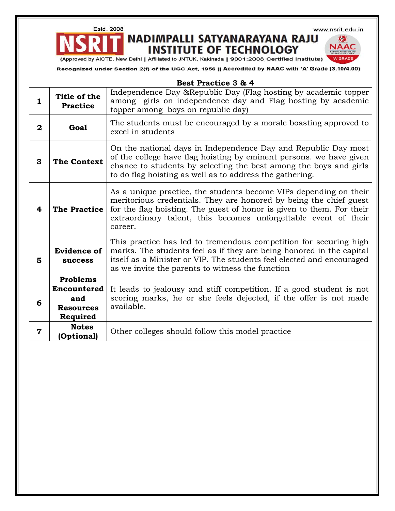Estd. 2008

www.nsrit.edu.in

G **NAAC** 

# NADIMPALLI SATYANARAYANA RAJU **INSTITUTE OF TECHNOLOGY**

(Approved by AICTE, New Delhi || Affiliated to JNTUK, Kakinada || 9001:2008 Certified Institute)

Recognized under Section 2(f) of the UGC Act, 1956 || Accredited by NAAC with 'A' Grade (3.10/4.00)

|              |                                                                       | Best Practice 3 & 4                                                                                                                                                                                                                                                                            |
|--------------|-----------------------------------------------------------------------|------------------------------------------------------------------------------------------------------------------------------------------------------------------------------------------------------------------------------------------------------------------------------------------------|
| 1            | Title of the<br><b>Practice</b>                                       | Independence Day &Republic Day (Flag hosting by academic topper<br>among girls on independence day and Flag hosting by academic<br>topper among boys on republic day)                                                                                                                          |
| $\mathbf{2}$ | Goal                                                                  | The students must be encouraged by a morale boasting approved to<br>excel in students                                                                                                                                                                                                          |
| 3            | <b>The Context</b>                                                    | On the national days in Independence Day and Republic Day most<br>of the college have flag hoisting by eminent persons. we have given<br>chance to students by selecting the best among the boys and girls<br>to do flag hoisting as well as to address the gathering.                         |
| 4            | <b>The Practice</b>                                                   | As a unique practice, the students become VIPs depending on their<br>meritorious credentials. They are honored by being the chief guest<br>for the flag hoisting. The guest of honor is given to them. For their<br>extraordinary talent, this becomes unforgettable event of their<br>career. |
| 5            | <b>Evidence of</b><br><b>success</b>                                  | This practice has led to tremendous competition for securing high<br>marks. The students feel as if they are being honored in the capital<br>itself as a Minister or VIP. The students feel elected and encouraged<br>as we invite the parents to witness the function                         |
| 6            | Problems<br><b>Encountered</b><br>and<br><b>Resources</b><br>Required | It leads to jealousy and stiff competition. If a good student is not<br>scoring marks, he or she feels dejected, if the offer is not made<br>available.                                                                                                                                        |
| 7            | <b>Notes</b><br>(Optional)                                            | Other colleges should follow this model practice                                                                                                                                                                                                                                               |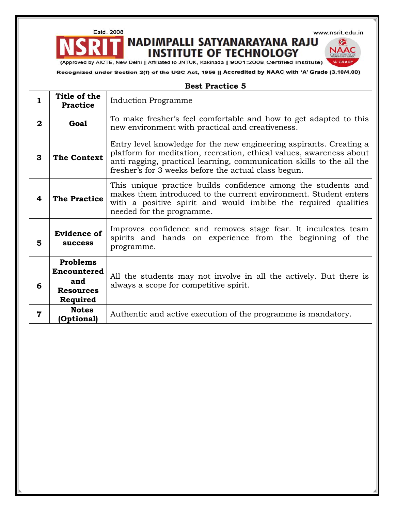www.nsrit.edu.in

G **NAAC** 

'A' GRADE

## NADIMPALLI SATYANARAYANA RAJU **INSTITUTE OF TECHNOLOGY**

(Approved by AICTE, New Delhi || Affiliated to JNTUK, Kakinada || 9001:2008 Certified Institute)

Estd. 2008

Recognized under Section 2(f) of the UGC Act, 1956 || Accredited by NAAC with 'A' Grade (3.10/4.00)

#### **Best Practice 5**

| 1            | Title of the<br><b>Practice</b>                                              | <b>Induction Programme</b>                                                                                                                                                                                                                                                   |
|--------------|------------------------------------------------------------------------------|------------------------------------------------------------------------------------------------------------------------------------------------------------------------------------------------------------------------------------------------------------------------------|
| $\mathbf{2}$ | Goal                                                                         | To make fresher's feel comfortable and how to get adapted to this<br>new environment with practical and creativeness.                                                                                                                                                        |
| 3            | <b>The Context</b>                                                           | Entry level knowledge for the new engineering aspirants. Creating a<br>platform for meditation, recreation, ethical values, awareness about<br>anti ragging, practical learning, communication skills to the all the<br>fresher's for 3 weeks before the actual class begun. |
| 4            | <b>The Practice</b>                                                          | This unique practice builds confidence among the students and<br>makes them introduced to the current environment. Student enters<br>with a positive spirit and would imbibe the required qualities<br>needed for the programme.                                             |
| 5            | <b>Evidence of</b><br><b>success</b>                                         | Improves confidence and removes stage fear. It inculcates team<br>spirits and hands on experience from the beginning of the<br>programme.                                                                                                                                    |
| 6            | <b>Problems</b><br><b>Encountered</b><br>and<br><b>Resources</b><br>Required | All the students may not involve in all the actively. But there is<br>always a scope for competitive spirit.                                                                                                                                                                 |
| 7            | <b>Notes</b><br>(Optional)                                                   | Authentic and active execution of the programme is mandatory.                                                                                                                                                                                                                |